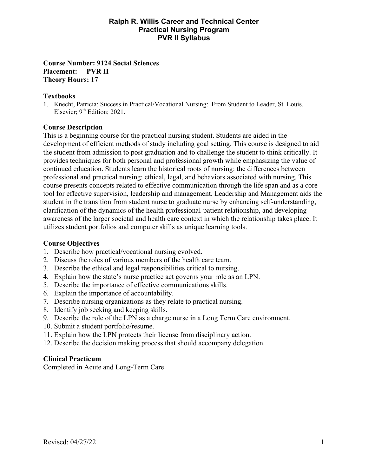### **Ralph R. Willis Career and Technical Center Practical Nursing Program PVR II Syllabus**

### **Course Number: 9124 Social Sciences**  P**lacement: PVR II Theory Hours: 17**

### **Textbooks**

1. Knecht, Patricia; Success in Practical/Vocational Nursing: From Student to Leader, St. Louis, Elsevier;  $9<sup>th</sup>$  Edition; 2021.

### **Course Description**

This is a beginning course for the practical nursing student. Students are aided in the development of efficient methods of study including goal setting. This course is designed to aid the student from admission to post graduation and to challenge the student to think critically. It provides techniques for both personal and professional growth while emphasizing the value of continued education. Students learn the historical roots of nursing: the differences between professional and practical nursing: ethical, legal, and behaviors associated with nursing. This course presents concepts related to effective communication through the life span and as a core tool for effective supervision, leadership and management. Leadership and Management aids the student in the transition from student nurse to graduate nurse by enhancing self-understanding, clarification of the dynamics of the health professional-patient relationship, and developing awareness of the larger societal and health care context in which the relationship takes place. It utilizes student portfolios and computer skills as unique learning tools.

#### **Course Objectives**

- 1. Describe how practical/vocational nursing evolved.
- 2. Discuss the roles of various members of the health care team.
- 3. Describe the ethical and legal responsibilities critical to nursing.
- 4. Explain how the state's nurse practice act governs your role as an LPN.
- 5. Describe the importance of effective communications skills.
- 6. Explain the importance of accountability.
- 7. Describe nursing organizations as they relate to practical nursing.
- 8. Identify job seeking and keeping skills.
- 9. Describe the role of the LPN as a charge nurse in a Long Term Care environment.
- 10. Submit a student portfolio/resume.
- 11. Explain how the LPN protects their license from disciplinary action.
- 12. Describe the decision making process that should accompany delegation.

# **Clinical Practicum**

Completed in Acute and Long-Term Care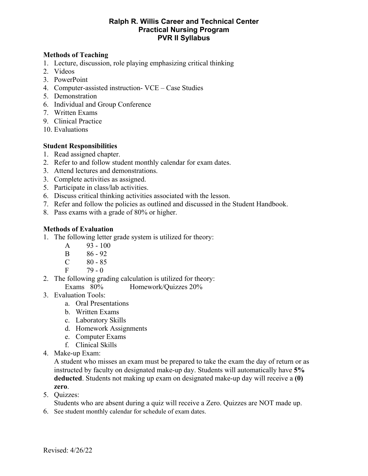### **Ralph R. Willis Career and Technical Center Practical Nursing Program PVR II Syllabus**

## **Methods of Teaching**

- 1. Lecture, discussion, role playing emphasizing critical thinking
- 2. Videos
- 3. PowerPoint
- 4. Computer-assisted instruction- VCE Case Studies
- 5. Demonstration
- 6. Individual and Group Conference
- 7. Written Exams
- 9. Clinical Practice
- 10. Evaluations

### **Student Responsibilities**

- 1. Read assigned chapter.
- 2. Refer to and follow student monthly calendar for exam dates.
- 3. Attend lectures and demonstrations.
- 3. Complete activities as assigned.
- 5. Participate in class/lab activities.
- 6. Discuss critical thinking activities associated with the lesson.
- 7. Refer and follow the policies as outlined and discussed in the Student Handbook.
- 8. Pass exams with a grade of 80% or higher.

### **Methods of Evaluation**

- 1. The following letter grade system is utilized for theory:
	- A 93 100
	- B 86 92
	- $C \t 80 85$
	- $F = 79 0$
- 2. The following grading calculation is utilized for theory:
	- Exams 80% Homework/Quizzes 20%
- 3. Evaluation Tools:
	- a. Oral Presentations
	- b. Written Exams
	- c. Laboratory Skills
	- d. Homework Assignments
	- e. Computer Exams
	- f. Clinical Skills
- 4. Make-up Exam:

 A student who misses an exam must be prepared to take the exam the day of return or as instructed by faculty on designated make-up day. Students will automatically have **5% deducted**. Students not making up exam on designated make-up day will receive a **(0) zero**.

5. Quizzes:

Students who are absent during a quiz will receive a Zero. Quizzes are NOT made up.

6. See student monthly calendar for schedule of exam dates.